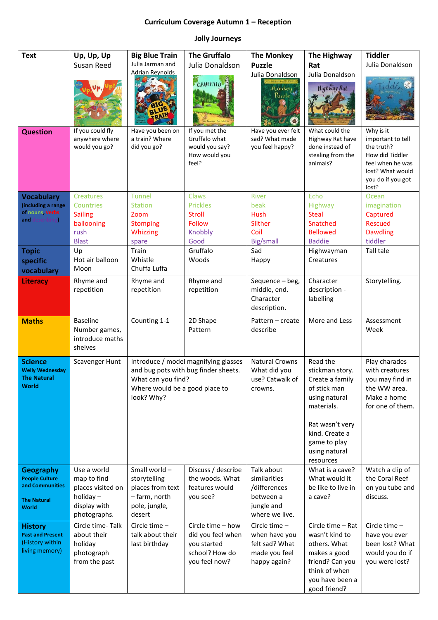## **Curriculum Coverage Autumn 1 – Reception**

## **Jolly Journeys**

| <b>Text</b>                             | Up, Up, Up                   | <b>Big Blue Train</b>          | <b>The Gruffalo</b>                  | <b>The Monkey</b>         | The Highway                         | <b>Tiddler</b>                    |
|-----------------------------------------|------------------------------|--------------------------------|--------------------------------------|---------------------------|-------------------------------------|-----------------------------------|
|                                         | Susan Reed                   | Julia Jarman and               | Julia Donaldson                      | <b>Puzzle</b>             | Rat                                 | Julia Donaldson                   |
|                                         |                              | <b>Adrian Revnolds</b>         |                                      | Julia Donaldson           | Julia Donaldson                     |                                   |
|                                         |                              |                                | GRUFFALO                             | Monkey                    | <b>Highway Rat</b>                  |                                   |
|                                         |                              |                                |                                      | Puzzle <sup>34</sup>      |                                     |                                   |
|                                         |                              |                                |                                      |                           |                                     |                                   |
|                                         |                              |                                |                                      |                           |                                     |                                   |
| <b>Question</b>                         | If you could fly             | Have you been on               | If you met the                       | Have you ever felt        | What could the                      | Why is it                         |
|                                         | anywhere where               | a train? Where                 | Gruffalo what<br>would you say?      | sad? What made            | Highway Rat have<br>done instead of | important to tell<br>the truth?   |
|                                         | would you go?                | did you go?                    | How would you                        | you feel happy?           | stealing from the                   | How did Tiddler                   |
|                                         |                              |                                | feel?                                |                           | animals?                            | feel when he was                  |
|                                         |                              |                                |                                      |                           |                                     | lost? What would                  |
|                                         |                              |                                |                                      |                           |                                     | you do if you got<br>lost?        |
| <b>Vocabulary</b>                       | <b>Creatures</b>             | <b>Tunnel</b>                  | Claws                                | <b>River</b>              | Echo                                | Ocean                             |
| (including a range                      | <b>Countries</b>             | <b>Station</b>                 | <b>Prickles</b>                      | beak                      | Highway                             | imagination                       |
| of nouns, verbs<br>and o<br>describing) | <b>Sailing</b>               | Zoom                           | <b>Stroll</b>                        | <b>Hush</b>               | <b>Steal</b>                        | Captured                          |
|                                         | ballooning<br>rush           | <b>Stomping</b><br>Whizzing    | <b>Follow</b><br>Knobbly             | Slither<br>Coil           | Snatched<br><b>Bellowed</b>         | <b>Rescued</b><br><b>Dawdling</b> |
|                                         | <b>Blast</b>                 | spare                          | Good                                 | Big/small                 | <b>Baddie</b>                       | tiddler                           |
| <b>Topic</b>                            | Up                           | Train                          | Gruffalo                             | Sad                       | Highwayman                          | Tall tale                         |
| specific                                | Hot air balloon              | Whistle                        | Woods                                | Happy                     | Creatures                           |                                   |
| vocabulary                              | Moon                         | Chuffa Luffa                   |                                      |                           |                                     |                                   |
| <b>Literacy</b>                         | Rhyme and                    | Rhyme and                      | Rhyme and                            | Sequence - beg,           | Character                           | Storytelling.                     |
|                                         | repetition                   | repetition                     | repetition                           | middle, end.              | description -                       |                                   |
|                                         |                              |                                |                                      | Character<br>description. | labelling                           |                                   |
|                                         | <b>Baseline</b>              |                                |                                      | Pattern - create          | More and Less                       | Assessment                        |
| <b>Maths</b>                            | Number games,                | Counting 1-1                   | 2D Shape<br>Pattern                  | describe                  |                                     | Week                              |
|                                         | introduce maths              |                                |                                      |                           |                                     |                                   |
|                                         | shelves                      |                                |                                      |                           |                                     |                                   |
| <b>Science</b>                          | Scavenger Hunt               |                                | Introduce / model magnifying glasses | <b>Natural Crowns</b>     | Read the                            | Play charades                     |
| <b>Welly Wednesday</b>                  |                              |                                | and bug pots with bug finder sheets. | What did you              | stickman story.                     | with creatures                    |
| The Natural<br><b>World</b>             |                              | What can you find?             |                                      | use? Catwalk of           | Create a family                     | you may find in                   |
|                                         |                              | Where would be a good place to |                                      | crowns.                   | of stick man                        | the WW area.                      |
|                                         |                              | look? Why?                     |                                      |                           | using natural<br>materials.         | Make a home<br>for one of them.   |
|                                         |                              |                                |                                      |                           |                                     |                                   |
|                                         |                              |                                |                                      |                           | Rat wasn't very                     |                                   |
|                                         |                              |                                |                                      |                           | kind. Create a                      |                                   |
|                                         |                              |                                |                                      |                           | game to play                        |                                   |
|                                         |                              |                                |                                      |                           | using natural<br>resources          |                                   |
| <b>Geography</b>                        | Use a world                  | Small world -                  | Discuss / describe                   | Talk about                | What is a cave?                     | Watch a clip of                   |
| <b>People Culture</b>                   | map to find                  | storytelling                   | the woods. What                      | similarities              | What would it                       | the Coral Reef                    |
| and Communities                         | places visited on            | places from text               | features would                       | /differences              | be like to live in                  | on you tube and                   |
| <b>The Natural</b>                      | holiday $-$                  | - farm, north                  | you see?                             | between a<br>jungle and   | a cave?                             | discuss.                          |
| <b>World</b>                            | display with<br>photographs. | pole, jungle,<br>desert        |                                      | where we live.            |                                     |                                   |
| <b>History</b>                          | Circle time-Talk             | Circle time $-$                | Circle time - how                    | Circle time $-$           | Circle time - Rat                   | Circle time $-$                   |
| <b>Past and Present</b>                 | about their                  | talk about their               | did you feel when                    | when have you             | wasn't kind to                      | have you ever                     |
| (History within                         | holiday                      | last birthday                  | you started                          | felt sad? What            | others. What                        | been lost? What                   |
| living memory)                          | photograph                   |                                | school? How do                       | made you feel             | makes a good                        | would you do if                   |
|                                         | from the past                |                                | you feel now?                        | happy again?              | friend? Can you<br>think of when    | you were lost?                    |
|                                         |                              |                                |                                      |                           | you have been a                     |                                   |
|                                         |                              |                                |                                      |                           | good friend?                        |                                   |